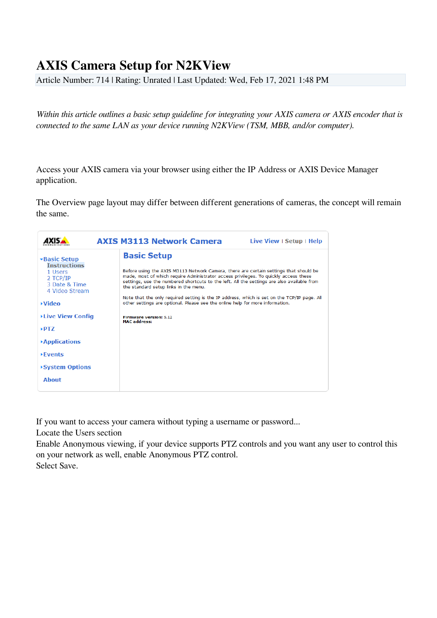## **AXIS Camera Setup for N2KView**

Article Number: 714 | Rating: Unrated | Last Updated: Wed, Feb 17, 2021 1:48 PM

*Within this article outlines a basic setup guideline for integrating your AXIS camera or AXIS encoder that is connected to the same LAN as your device running N2KView (TSM, MBB, and/or computer).*

Access your AXIS camera via your browser using either the IP Address or AXIS Device Manager application.

The Overview page layout may differ between different generations of cameras, the concept will remain the same.

|                                                                                                                                                                                                                                      | <b>AXIS M3113 Network Camera</b>                                                                                                                                                                                                                                                                                                                                                                                                                                                                                                                                                   | Live View   Setup   Help |
|--------------------------------------------------------------------------------------------------------------------------------------------------------------------------------------------------------------------------------------|------------------------------------------------------------------------------------------------------------------------------------------------------------------------------------------------------------------------------------------------------------------------------------------------------------------------------------------------------------------------------------------------------------------------------------------------------------------------------------------------------------------------------------------------------------------------------------|--------------------------|
| ▼Basic Setup<br><b>Instructions</b><br>1 Users<br>2 TCP/IP<br>3 Date & Time<br>4 Video Stream<br><b>∗Video</b><br><b>Elive View Config</b><br>P <sub>T</sub><br><b>Applications</b><br>$E$ vents<br>▶ System Options<br><b>About</b> | <b>Basic Setup</b><br>Before using the AXIS M3113 Network Camera, there are certain settings that should be<br>made, most of which require Administrator access privileges. To quickly access these<br>settings, use the numbered shortcuts to the left. All the settings are also available from<br>the standard setup links in the menu.<br>Note that the only required setting is the IP address, which is set on the TCP/IP page. All<br>other settings are optional. Please see the online help for more information.<br><b>Firmware version: 5.12</b><br><b>MAC address:</b> |                          |

If you want to access your camera without typing a username or password...

Locate the Users section

Enable Anonymous viewing, if your device supports PTZ controls and you want any user to control this on your network as well, enable Anonymous PTZ control.

Select Save.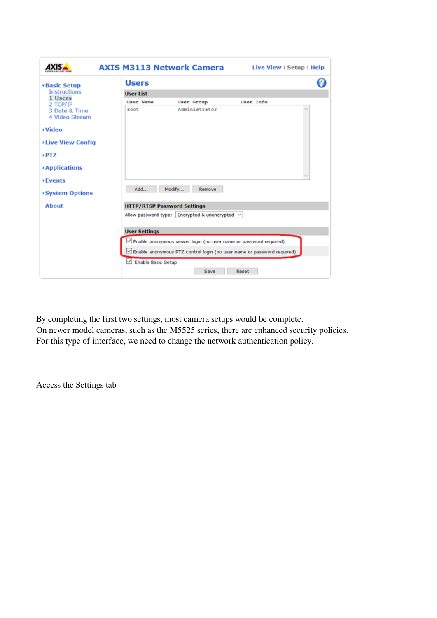| AXIS.                           |                                    | <b>AXIS M3113 Network Camera</b>                                              | Live View   Setup   Help |
|---------------------------------|------------------------------------|-------------------------------------------------------------------------------|--------------------------|
| ▼Basic Setup                    | <b>Users</b>                       |                                                                               |                          |
| <b>Instructions</b><br>1 Users  | <b>User List</b>                   |                                                                               |                          |
| 2 TCP/IP                        | User Name                          | <b>User Group</b>                                                             | User Info                |
| 3 Date & Time<br>4 Video Stream | root                               | Administrator                                                                 |                          |
| <b>∗Video</b>                   |                                    |                                                                               |                          |
| <b>Elive View Config</b>        |                                    |                                                                               |                          |
| P17                             |                                    |                                                                               |                          |
| <b>Applications</b>             |                                    |                                                                               |                          |
| <b>Fvents</b>                   |                                    |                                                                               |                          |
| ▶ System Options                | Add                                | Modify<br>Remove                                                              |                          |
| <b>About</b>                    | <b>HTTP/RTSP Password Settings</b> |                                                                               |                          |
|                                 |                                    | Allow password type: Encrypted & unencrypted $\vee$                           |                          |
|                                 | <b>User Settings</b>               |                                                                               |                          |
|                                 |                                    | $\boxtimes$ Enable anonymous viewer login (no user name or password required) |                          |
|                                 |                                    | Enable anonymous PTZ control login (no user name or password required)        |                          |
|                                 | Enable Basic Setup                 |                                                                               |                          |
|                                 |                                    | Save                                                                          | Reset                    |

By completing the first two settings, most camera setups would be complete. On newer model cameras, such as the M5525 series, there are enhanced security policies. For this type of interface, we need to change the network authentication policy.

Access the Settings tab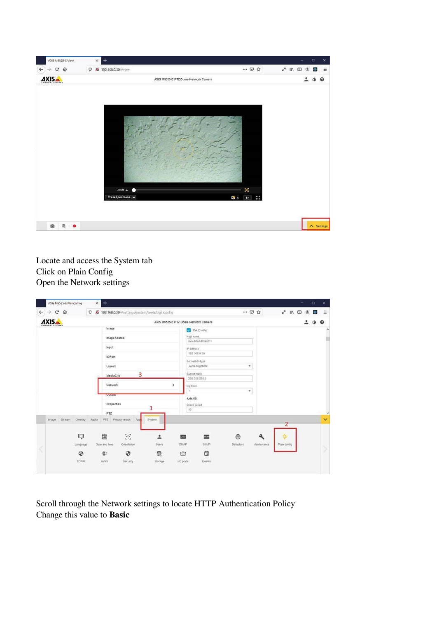

Locate and access the System tab Click on Plain Config Open the Network settings

|              |                             | AXIS MSS2S-E Plainconfig |               | $\times$ | $+$           |                                                  |     |         |   |                          |                                      |            |              |             |                |                | $\overline{\phantom{a}}$ |               | o         | $\times$                   |
|--------------|-----------------------------|--------------------------|---------------|----------|---------------|--------------------------------------------------|-----|---------|---|--------------------------|--------------------------------------|------------|--------------|-------------|----------------|----------------|--------------------------|---------------|-----------|----------------------------|
| $\leftarrow$ | $_{\rm G}$<br>$\rightarrow$ | €                        |               | $\odot$  |               | /192.168.0.30/#settings/system/tools/plainconfig |     |         |   |                          |                                      |            | … ◎ ☆        |             |                | $x^2 \equiv 0$ |                          | $\circledast$ | 變         | Ξ                          |
|              | <b>GHMUNICATIONS</b>        |                          |               |          |               |                                                  |     |         |   |                          | AXIS M5525-E PTZ Dome Network Camera |            |              |             |                |                |                          | ≗             | $\bullet$ | ◉                          |
|              |                             |                          |               |          | Image         | Image Source                                     |     |         |   | Host name                | IPv4 Enabled                         |            |              |             |                |                |                          |               |           | $\lambda$                  |
|              |                             |                          |               |          | Input         |                                                  |     |         |   | IP address               | axis-b8a44f09e811                    |            |              |             |                |                |                          |               |           |                            |
|              |                             |                          |               |          | <b>IOPort</b> |                                                  |     |         |   |                          | 192.168.0.90<br>Connection type:     |            |              |             |                |                |                          |               |           |                            |
|              |                             |                          |               |          | Layout        |                                                  |     |         |   |                          | Auto-Negotiate                       |            | $\mathbf{v}$ |             |                |                |                          |               |           |                            |
|              |                             |                          |               |          | MediaClip     |                                                  | 3   |         |   |                          | Subnet mask<br>255 255 255.0         |            |              |             |                |                |                          |               |           |                            |
|              |                             |                          |               |          | Network       |                                                  |     |         | ь | tcp ECN<br>٠             |                                      |            | ٧.           |             |                |                |                          |               |           |                            |
|              |                             |                          |               |          | Coquet        |                                                  |     |         |   | <b>AxisNS</b>            |                                      |            |              |             |                |                |                          |               |           |                            |
|              |                             |                          |               |          | Properties    |                                                  |     |         |   | 10                       | Check period                         |            |              |             |                |                |                          |               |           |                            |
|              | image:                      | Stream                   | Overlay Audio |          | PTZ<br>PTZ    | Privacy mask                                     | App | System  |   |                          |                                      |            |              |             | $\overline{2}$ |                |                          |               |           | $\ddot{ }$<br>$\checkmark$ |
|              |                             |                          | Ξ             |          | 圍             | 36                                               |     | 으       |   | Comp                     | <b>GNAP</b>                          | $\odot$    |              | ů.          | ťυ             |                |                          |               |           |                            |
|              |                             |                          | Language      |          | Date and time | Orientation                                      |     | Users   |   | ONVIF                    | SNMP                                 | Detectors. |              | Maintenance | Plain config   |                |                          |               |           |                            |
|              |                             |                          | ۵             |          | $\circledast$ | 0                                                |     | 5       |   | $\mathbb{C}^{\text{IS}}$ | ä                                    |            |              |             |                |                |                          |               |           |                            |
|              |                             |                          | TCP/IP        |          | <b>AVHS</b>   | Security                                         |     | Storage |   | I/O ports                | Events                               |            |              |             |                |                |                          |               |           |                            |

Scroll through the Network settings to locate HTTP Authentication Policy Change this value to **Basic**